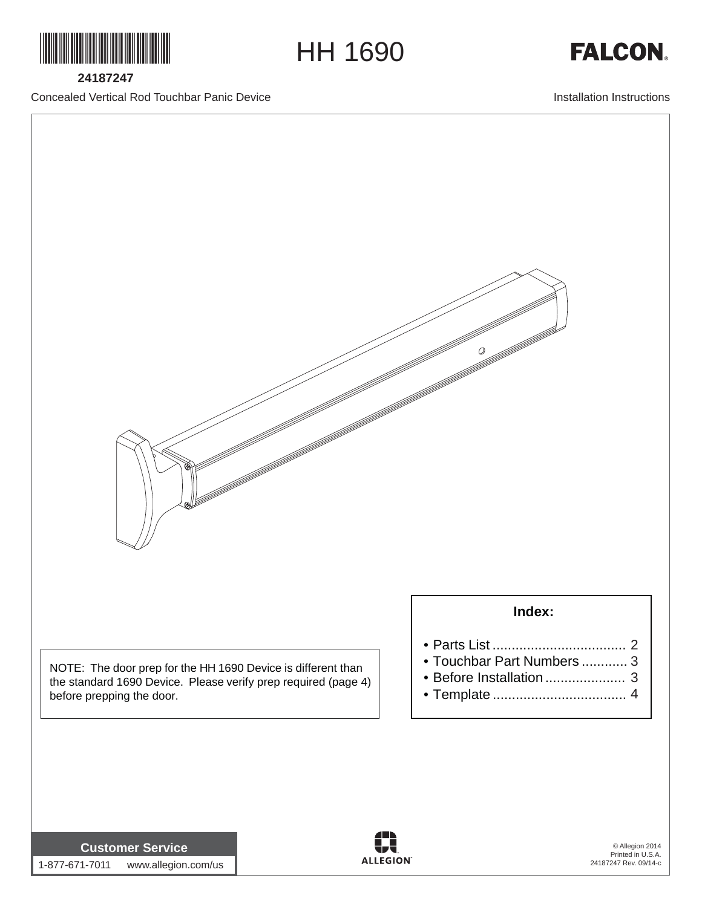

**24187247**

Concealed Vertical Rod Touchbar Panic Device

Installation Instructions

**FALCON** 



HH 1690

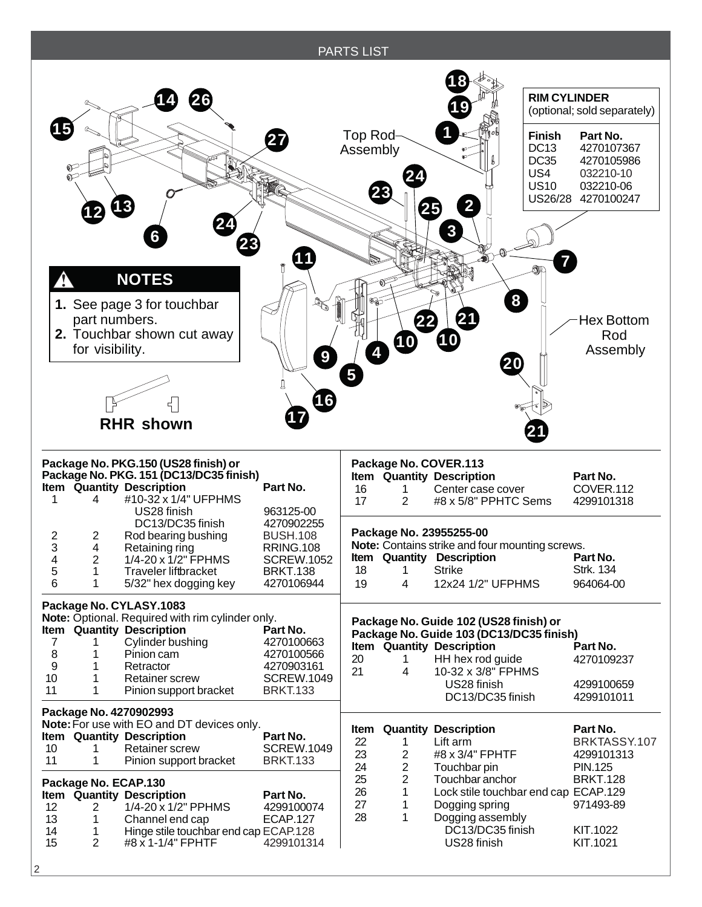## PARTS LIST



2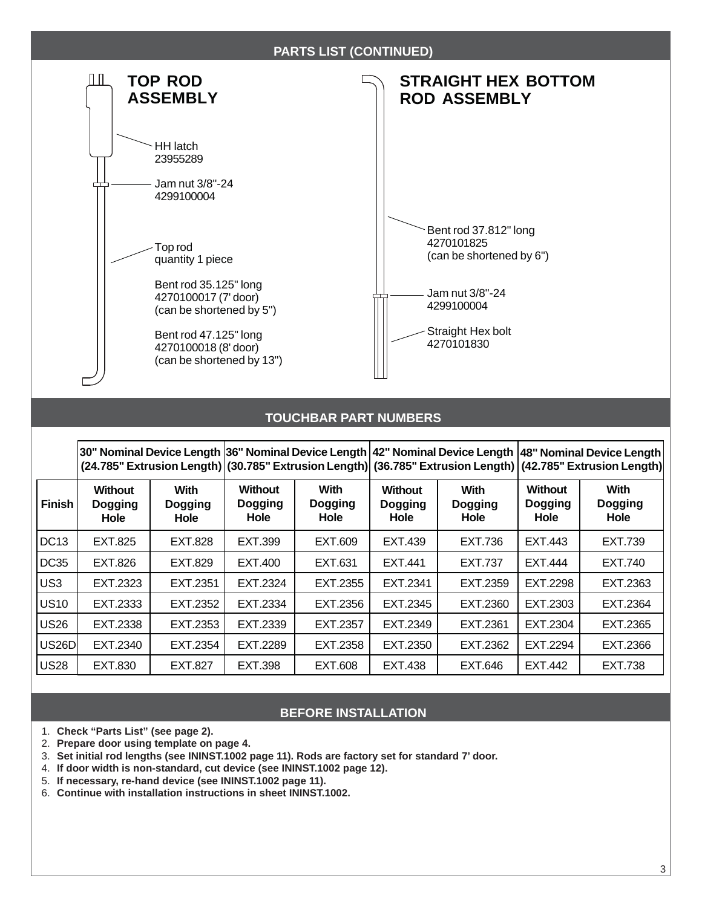

## **TOUCHBAR PART NUMBERS**

|                    |                                          |                                       | 30" Nominal Device Length  36" Nominal Device Length  42" Nominal Device Length  48" Nominal Device Length  <br>(24.785" Extrusion Length) (30.785" Extrusion Length) (36.785" Extrusion Length) (42.785" Extrusion Length) |                                              |                                                 |                                |                                          |                                              |
|--------------------|------------------------------------------|---------------------------------------|-----------------------------------------------------------------------------------------------------------------------------------------------------------------------------------------------------------------------------|----------------------------------------------|-------------------------------------------------|--------------------------------|------------------------------------------|----------------------------------------------|
| <b>Finish</b>      | <b>Without</b><br><b>Dogging</b><br>Hole | <b>With</b><br><b>Dogging</b><br>Hole | <b>Without</b><br><b>Dogging</b><br>Hole                                                                                                                                                                                    | <b>With</b><br><b>Dogging</b><br><b>Hole</b> | <b>Without</b><br><b>Dogging</b><br><b>Hole</b> | With<br><b>Dogging</b><br>Hole | <b>Without</b><br><b>Dogging</b><br>Hole | <b>With</b><br><b>Dogging</b><br><b>Hole</b> |
| DC <sub>13</sub>   | EXT.825                                  | <b>EXT.828</b>                        | EXT.399                                                                                                                                                                                                                     | EXT.609                                      | EXT.439                                         | <b>EXT.736</b>                 | EXT.443                                  | EXT.739                                      |
| DC35               | EXT.826                                  | EXT.829                               | EXT.400                                                                                                                                                                                                                     | EXT.631                                      | EXT.441                                         | <b>EXT.737</b>                 | EXT.444                                  | EXT.740                                      |
| US <sub>3</sub>    | EXT.2323                                 | EXT.2351                              | EXT.2324                                                                                                                                                                                                                    | EXT.2355                                     | EXT.2341                                        | EXT.2359                       | EXT.2298                                 | EXT.2363                                     |
| <b>US10</b>        | EXT.2333                                 | EXT.2352                              | EXT.2334                                                                                                                                                                                                                    | EXT.2356                                     | EXT.2345                                        | EXT.2360                       | EXT.2303                                 | EXT.2364                                     |
| US <sub>26</sub>   | EXT.2338                                 | EXT.2353                              | EXT.2339                                                                                                                                                                                                                    | EXT.2357                                     | EXT.2349                                        | EXT.2361                       | EXT.2304                                 | EXT.2365                                     |
| US <sub>26</sub> D | EXT.2340                                 | EXT.2354                              | EXT.2289                                                                                                                                                                                                                    | EXT.2358                                     | EXT.2350                                        | EXT.2362                       | EXT.2294                                 | EXT.2366                                     |
| <b>US28</b>        | EXT.830                                  | <b>EXT.827</b>                        | <b>EXT.398</b>                                                                                                                                                                                                              | EXT.608                                      | EXT.438                                         | EXT.646                        | EXT.442                                  | <b>EXT.738</b>                               |

## **BEFORE INSTALLATION**

- 1. **Check "Parts List" (see page 2).**
- 2. **Prepare door using template on page 4.**
- 3. **Set initial rod lengths (see ININST.1002 page 11). Rods are factory set for standard 7' door.**
- 4. **If door width is non-standard, cut device (see ININST.1002 page 12).**
- 5. **If necessary, re-hand device (see ININST.1002 page 11).**
- 6. **Continue with installation instructions in sheet ININST.1002.**